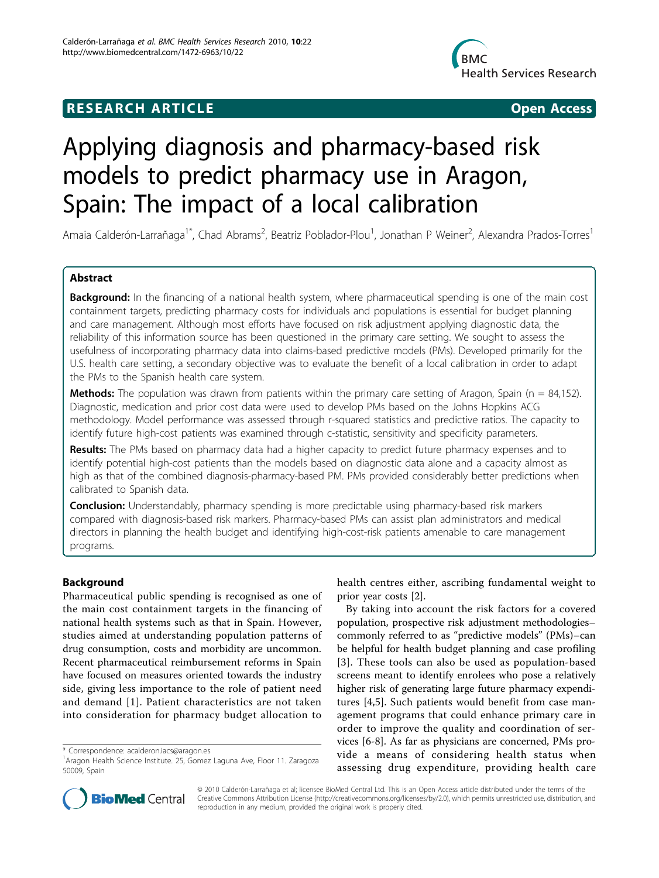## **RESEARCH ARTICLE Example 2018 CONSIDERING ACCESS**



# Applying diagnosis and pharmacy-based risk models to predict pharmacy use in Aragon, Spain: The impact of a local calibration

Amaia Calderón-Larrañaga<sup>1\*</sup>, Chad Abrams<sup>2</sup>, Beatriz Poblador-Plou<sup>1</sup>, Jonathan P Weiner<sup>2</sup>, Alexandra Prados-Torres<sup>1</sup>

## Abstract

Background: In the financing of a national health system, where pharmaceutical spending is one of the main cost containment targets, predicting pharmacy costs for individuals and populations is essential for budget planning and care management. Although most efforts have focused on risk adjustment applying diagnostic data, the reliability of this information source has been questioned in the primary care setting. We sought to assess the usefulness of incorporating pharmacy data into claims-based predictive models (PMs). Developed primarily for the U.S. health care setting, a secondary objective was to evaluate the benefit of a local calibration in order to adapt the PMs to the Spanish health care system.

**Methods:** The population was drawn from patients within the primary care setting of Aragon, Spain ( $n = 84,152$ ). Diagnostic, medication and prior cost data were used to develop PMs based on the Johns Hopkins ACG methodology. Model performance was assessed through r-squared statistics and predictive ratios. The capacity to identify future high-cost patients was examined through c-statistic, sensitivity and specificity parameters.

Results: The PMs based on pharmacy data had a higher capacity to predict future pharmacy expenses and to identify potential high-cost patients than the models based on diagnostic data alone and a capacity almost as high as that of the combined diagnosis-pharmacy-based PM. PMs provided considerably better predictions when calibrated to Spanish data.

**Conclusion:** Understandably, pharmacy spending is more predictable using pharmacy-based risk markers compared with diagnosis-based risk markers. Pharmacy-based PMs can assist plan administrators and medical directors in planning the health budget and identifying high-cost-risk patients amenable to care management programs.

## Background

Pharmaceutical public spending is recognised as one of the main cost containment targets in the financing of national health systems such as that in Spain. However, studies aimed at understanding population patterns of drug consumption, costs and morbidity are uncommon. Recent pharmaceutical reimbursement reforms in Spain have focused on measures oriented towards the industry side, giving less importance to the role of patient need and demand [[1\]](#page-7-0). Patient characteristics are not taken into consideration for pharmacy budget allocation to

health centres either, ascribing fundamental weight to prior year costs [[2\]](#page-7-0).

By taking into account the risk factors for a covered population, prospective risk adjustment methodologies– commonly referred to as "predictive models" (PMs)–can be helpful for health budget planning and case profiling [[3](#page-7-0)]. These tools can also be used as population-based screens meant to identify enrolees who pose a relatively higher risk of generating large future pharmacy expenditures [[4,5](#page-7-0)]. Such patients would benefit from case management programs that could enhance primary care in order to improve the quality and coordination of services [[6-8\]](#page-7-0). As far as physicians are concerned, PMs provide a means of considering health status when assessing drug expenditure, providing health care



© 2010 Calderón-Larrañaga et al; licensee BioMed Central Ltd. This is an Open Access article distributed under the terms of the Creative Commons Attribution License (<http://creativecommons.org/licenses/by/2.0>), which permits unrestricted use, distribution, and reproduction in any medium, provided the original work is properly cited.

<sup>\*</sup> Correspondence: [acalderon.iacs@aragon.es](mailto:acalderon.iacs@aragon.es)

<sup>&</sup>lt;sup>1</sup> Aragon Health Science Institute. 25, Gomez Laguna Ave, Floor 11. Zaragoza 50009, Spain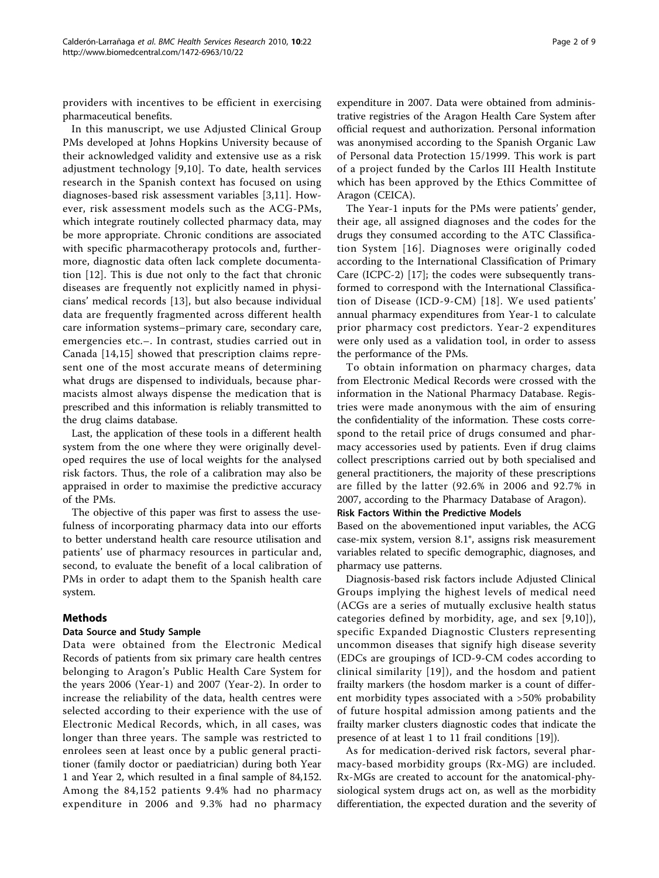providers with incentives to be efficient in exercising pharmaceutical benefits.

In this manuscript, we use Adjusted Clinical Group PMs developed at Johns Hopkins University because of their acknowledged validity and extensive use as a risk adjustment technology [\[9](#page-7-0),[10](#page-7-0)]. To date, health services research in the Spanish context has focused on using diagnoses-based risk assessment variables [[3,11\]](#page-7-0). However, risk assessment models such as the ACG-PMs, which integrate routinely collected pharmacy data, may be more appropriate. Chronic conditions are associated with specific pharmacotherapy protocols and, furthermore, diagnostic data often lack complete documentation [\[12\]](#page-7-0). This is due not only to the fact that chronic diseases are frequently not explicitly named in physicians' medical records [[13](#page-7-0)], but also because individual data are frequently fragmented across different health care information systems–primary care, secondary care, emergencies etc.–. In contrast, studies carried out in Canada [[14,15\]](#page-7-0) showed that prescription claims represent one of the most accurate means of determining what drugs are dispensed to individuals, because pharmacists almost always dispense the medication that is prescribed and this information is reliably transmitted to the drug claims database.

Last, the application of these tools in a different health system from the one where they were originally developed requires the use of local weights for the analysed risk factors. Thus, the role of a calibration may also be appraised in order to maximise the predictive accuracy of the PMs.

The objective of this paper was first to assess the usefulness of incorporating pharmacy data into our efforts to better understand health care resource utilisation and patients' use of pharmacy resources in particular and, second, to evaluate the benefit of a local calibration of PMs in order to adapt them to the Spanish health care system.

## Methods

#### Data Source and Study Sample

Data were obtained from the Electronic Medical Records of patients from six primary care health centres belonging to Aragon's Public Health Care System for the years 2006 (Year-1) and 2007 (Year-2). In order to increase the reliability of the data, health centres were selected according to their experience with the use of Electronic Medical Records, which, in all cases, was longer than three years. The sample was restricted to enrolees seen at least once by a public general practitioner (family doctor or paediatrician) during both Year 1 and Year 2, which resulted in a final sample of 84,152. Among the 84,152 patients 9.4% had no pharmacy expenditure in 2006 and 9.3% had no pharmacy

expenditure in 2007. Data were obtained from administrative registries of the Aragon Health Care System after official request and authorization. Personal information was anonymised according to the Spanish Organic Law of Personal data Protection 15/1999. This work is part of a project funded by the Carlos III Health Institute which has been approved by the Ethics Committee of Aragon (CEICA).

The Year-1 inputs for the PMs were patients' gender, their age, all assigned diagnoses and the codes for the drugs they consumed according to the ATC Classification System [[16](#page-7-0)]. Diagnoses were originally coded according to the International Classification of Primary Care (ICPC-2) [[17\]](#page-7-0); the codes were subsequently transformed to correspond with the International Classification of Disease (ICD-9-CM) [[18\]](#page-7-0). We used patients' annual pharmacy expenditures from Year-1 to calculate prior pharmacy cost predictors. Year-2 expenditures were only used as a validation tool, in order to assess the performance of the PMs.

To obtain information on pharmacy charges, data from Electronic Medical Records were crossed with the information in the National Pharmacy Database. Registries were made anonymous with the aim of ensuring the confidentiality of the information. These costs correspond to the retail price of drugs consumed and pharmacy accessories used by patients. Even if drug claims collect prescriptions carried out by both specialised and general practitioners, the majority of these prescriptions are filled by the latter (92.6% in 2006 and 92.7% in 2007, according to the Pharmacy Database of Aragon). Risk Factors Within the Predictive Models

Based on the abovementioned input variables, the ACG case-mix system, version 8.1®, assigns risk measurement variables related to specific demographic, diagnoses, and pharmacy use patterns.

Diagnosis-based risk factors include Adjusted Clinical Groups implying the highest levels of medical need (ACGs are a series of mutually exclusive health status categories defined by morbidity, age, and sex [\[9,10](#page-7-0)]), specific Expanded Diagnostic Clusters representing uncommon diseases that signify high disease severity (EDCs are groupings of ICD-9-CM codes according to clinical similarity [[19](#page-7-0)]), and the hosdom and patient frailty markers (the hosdom marker is a count of different morbidity types associated with a >50% probability of future hospital admission among patients and the frailty marker clusters diagnostic codes that indicate the presence of at least 1 to 11 frail conditions [[19](#page-7-0)]).

As for medication-derived risk factors, several pharmacy-based morbidity groups (Rx-MG) are included. Rx-MGs are created to account for the anatomical-physiological system drugs act on, as well as the morbidity differentiation, the expected duration and the severity of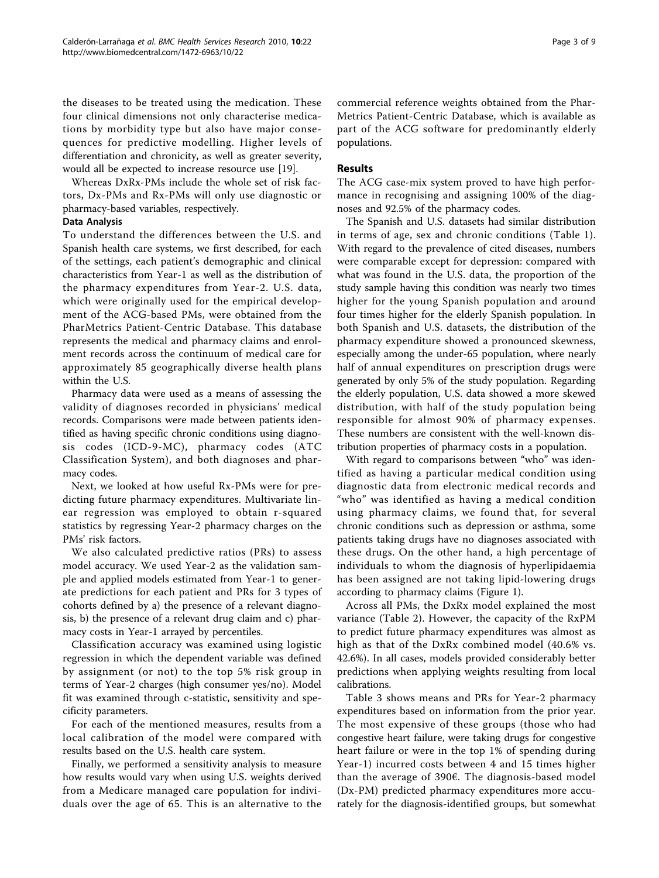the diseases to be treated using the medication. These four clinical dimensions not only characterise medications by morbidity type but also have major consequences for predictive modelling. Higher levels of differentiation and chronicity, as well as greater severity, would all be expected to increase resource use [[19](#page-7-0)].

Whereas DxRx-PMs include the whole set of risk factors, Dx-PMs and Rx-PMs will only use diagnostic or pharmacy-based variables, respectively.

## Data Analysis

To understand the differences between the U.S. and Spanish health care systems, we first described, for each of the settings, each patient's demographic and clinical characteristics from Year-1 as well as the distribution of the pharmacy expenditures from Year-2. U.S. data, which were originally used for the empirical development of the ACG-based PMs, were obtained from the PharMetrics Patient-Centric Database. This database represents the medical and pharmacy claims and enrolment records across the continuum of medical care for approximately 85 geographically diverse health plans within the U.S.

Pharmacy data were used as a means of assessing the validity of diagnoses recorded in physicians' medical records. Comparisons were made between patients identified as having specific chronic conditions using diagnosis codes (ICD-9-MC), pharmacy codes (ATC Classification System), and both diagnoses and pharmacy codes.

Next, we looked at how useful Rx-PMs were for predicting future pharmacy expenditures. Multivariate linear regression was employed to obtain r-squared statistics by regressing Year-2 pharmacy charges on the PMs' risk factors.

We also calculated predictive ratios (PRs) to assess model accuracy. We used Year-2 as the validation sample and applied models estimated from Year-1 to generate predictions for each patient and PRs for 3 types of cohorts defined by a) the presence of a relevant diagnosis, b) the presence of a relevant drug claim and c) pharmacy costs in Year-1 arrayed by percentiles.

Classification accuracy was examined using logistic regression in which the dependent variable was defined by assignment (or not) to the top 5% risk group in terms of Year-2 charges (high consumer yes/no). Model fit was examined through c-statistic, sensitivity and specificity parameters.

For each of the mentioned measures, results from a local calibration of the model were compared with results based on the U.S. health care system.

Finally, we performed a sensitivity analysis to measure how results would vary when using U.S. weights derived from a Medicare managed care population for individuals over the age of 65. This is an alternative to the commercial reference weights obtained from the Phar-Metrics Patient-Centric Database, which is available as part of the ACG software for predominantly elderly populations.

## Results

The ACG case-mix system proved to have high performance in recognising and assigning 100% of the diagnoses and 92.5% of the pharmacy codes.

The Spanish and U.S. datasets had similar distribution in terms of age, sex and chronic conditions (Table [1](#page-3-0)). With regard to the prevalence of cited diseases, numbers were comparable except for depression: compared with what was found in the U.S. data, the proportion of the study sample having this condition was nearly two times higher for the young Spanish population and around four times higher for the elderly Spanish population. In both Spanish and U.S. datasets, the distribution of the pharmacy expenditure showed a pronounced skewness, especially among the under-65 population, where nearly half of annual expenditures on prescription drugs were generated by only 5% of the study population. Regarding the elderly population, U.S. data showed a more skewed distribution, with half of the study population being responsible for almost 90% of pharmacy expenses. These numbers are consistent with the well-known distribution properties of pharmacy costs in a population.

With regard to comparisons between "who" was identified as having a particular medical condition using diagnostic data from electronic medical records and "who" was identified as having a medical condition using pharmacy claims, we found that, for several chronic conditions such as depression or asthma, some patients taking drugs have no diagnoses associated with these drugs. On the other hand, a high percentage of individuals to whom the diagnosis of hyperlipidaemia has been assigned are not taking lipid-lowering drugs according to pharmacy claims (Figure [1](#page-4-0)).

Across all PMs, the DxRx model explained the most variance (Table [2](#page-4-0)). However, the capacity of the RxPM to predict future pharmacy expenditures was almost as high as that of the DxRx combined model (40.6% vs. 42.6%). In all cases, models provided considerably better predictions when applying weights resulting from local calibrations.

Table [3](#page-5-0) shows means and PRs for Year-2 pharmacy expenditures based on information from the prior year. The most expensive of these groups (those who had congestive heart failure, were taking drugs for congestive heart failure or were in the top 1% of spending during Year-1) incurred costs between 4 and 15 times higher than the average of 390€. The diagnosis-based model (Dx-PM) predicted pharmacy expenditures more accurately for the diagnosis-identified groups, but somewhat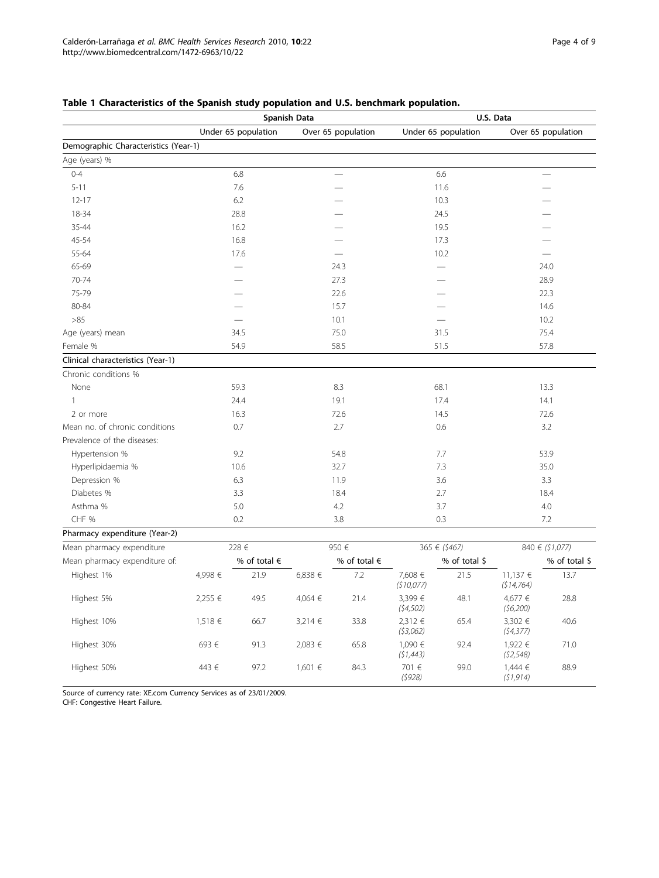|                                      |         |                       | Spanish Data |                    |                       |                     | U.S. Data              |                    |  |
|--------------------------------------|---------|-----------------------|--------------|--------------------|-----------------------|---------------------|------------------------|--------------------|--|
|                                      |         | Under 65 population   |              | Over 65 population |                       | Under 65 population |                        | Over 65 population |  |
| Demographic Characteristics (Year-1) |         |                       |              |                    |                       |                     |                        |                    |  |
| Age (years) %                        |         |                       |              |                    |                       |                     |                        |                    |  |
| $0 - 4$                              |         | 6.8                   |              |                    |                       | 6.6                 |                        |                    |  |
| $5 - 11$                             |         | 7.6                   |              |                    |                       | 11.6                |                        |                    |  |
| $12 - 17$                            |         | 6.2                   |              |                    |                       | 10.3                |                        |                    |  |
| 18-34                                |         | 28.8                  |              |                    |                       | 24.5                |                        |                    |  |
| 35-44                                |         | 16.2                  |              |                    |                       | 19.5                |                        |                    |  |
| 45-54                                |         | 16.8                  |              |                    |                       | 17.3                |                        |                    |  |
| 55-64                                |         | 17.6                  |              |                    |                       | 10.2                |                        |                    |  |
| 65-69                                |         |                       |              | 24.3               |                       |                     |                        | 24.0               |  |
| 70-74                                |         |                       |              | 27.3               |                       |                     |                        | 28.9               |  |
| 75-79                                |         |                       |              | 22.6               |                       |                     |                        | 22.3               |  |
| 80-84                                |         |                       |              | 15.7               |                       |                     |                        | 14.6               |  |
| >85                                  |         |                       |              | 10.1               |                       |                     |                        | 10.2               |  |
| Age (years) mean                     |         | 34.5                  |              | 75.0               |                       | 31.5                |                        | 75.4               |  |
| Female %                             |         | 54.9                  |              | 58.5               |                       | 51.5                | 57.8                   |                    |  |
| Clinical characteristics (Year-1)    |         |                       |              |                    |                       |                     |                        |                    |  |
| Chronic conditions %                 |         |                       |              |                    |                       |                     |                        |                    |  |
| None                                 |         | 59.3                  |              | 8.3                |                       | 68.1                | 13.3                   |                    |  |
| $\mathbf{1}$                         |         | 24.4                  |              | 19.1               |                       | 17.4                | 14.1                   |                    |  |
| 2 or more                            |         | 16.3                  |              | 72.6               |                       | 14.5                | 72.6                   |                    |  |
| Mean no. of chronic conditions       | 0.7     |                       | 2.7          |                    | 0.6                   |                     |                        | 3.2                |  |
| Prevalence of the diseases:          |         |                       |              |                    |                       |                     |                        |                    |  |
| Hypertension %                       |         | 9.2                   |              | 54.8               |                       | 7.7                 |                        | 53.9               |  |
| Hyperlipidaemia %                    |         | 10.6                  |              | 32.7               |                       | 7.3                 |                        | 35.0               |  |
| Depression %                         |         | 6.3                   |              | 11.9               |                       | 3.6                 | 3.3                    |                    |  |
| Diabetes %                           |         | 3.3                   |              | 18.4               |                       | 2.7                 | 18.4                   |                    |  |
| Asthma %                             |         | 5.0                   |              | 4.2                |                       | 3.7                 | 4.0                    |                    |  |
| CHF %                                |         | 0.2                   |              | 3.8                |                       | 0.3                 | 7.2                    |                    |  |
| Pharmacy expenditure (Year-2)        |         |                       |              |                    |                       |                     |                        |                    |  |
| Mean pharmacy expenditure            |         | 228 €                 |              | 950 €              |                       | 365 € (\$467)       |                        | 840 € (\$1,077)    |  |
| Mean pharmacy expenditure of:        |         | % of total $\epsilon$ |              | % of total $\in$   |                       | % of total \$       |                        | % of total \$      |  |
| Highest 1%                           | 4,998 € | 21.9                  | 6,838 €      | 7.2                | 7,608 €<br>(\$10,077) | 21.5                | 11,137 €<br>(\$14,764) | 13.7               |  |
| Highest 5%                           | 2,255 € | 49.5                  | 4,064 €      | 21.4               | 3,399 €<br>(54, 502)  | 48.1                | 4,677 €<br>(56,200)    | 28.8               |  |
| Highest 10%                          | 1,518 € | 66.7                  | 3,214 €      | 33.8               | 2,312 €<br>( \$3,062) | 65.4                | 3,302 €<br>(54, 377)   | 40.6               |  |
| Highest 30%                          | 693 €   | 91.3                  | 2,083 €      | 65.8               | 1,090 €<br>(\$1,443)  | 92.4                | 1,922 €<br>(52, 548)   | 71.0               |  |
| Highest 50%                          | 443 €   | 97.2                  | 1,601 €      | 84.3               | 701 €<br>(5928)       | 99.0                | 1,444 €<br>(51, 914)   | 88.9               |  |

## <span id="page-3-0"></span>Table 1 Characteristics of the Spanish study population and U.S. benchmark population.

Source of currency rate: XE.com Currency Services as of 23/01/2009.

CHF: Congestive Heart Failure.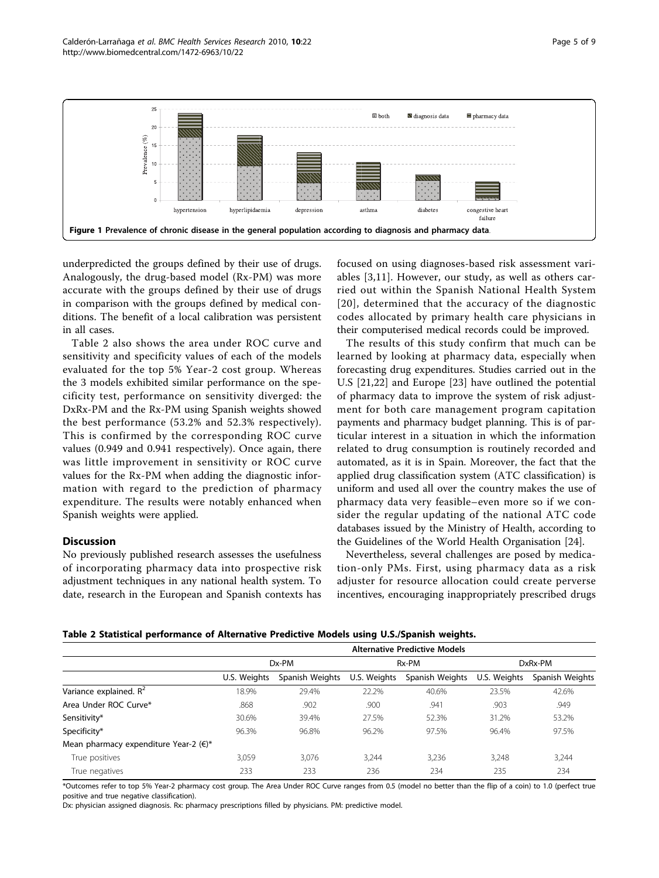<span id="page-4-0"></span>

underpredicted the groups defined by their use of drugs. Analogously, the drug-based model (Rx-PM) was more accurate with the groups defined by their use of drugs in comparison with the groups defined by medical conditions. The benefit of a local calibration was persistent in all cases.

Table 2 also shows the area under ROC curve and sensitivity and specificity values of each of the models evaluated for the top 5% Year-2 cost group. Whereas the 3 models exhibited similar performance on the specificity test, performance on sensitivity diverged: the DxRx-PM and the Rx-PM using Spanish weights showed the best performance (53.2% and 52.3% respectively). This is confirmed by the corresponding ROC curve values (0.949 and 0.941 respectively). Once again, there was little improvement in sensitivity or ROC curve values for the Rx-PM when adding the diagnostic information with regard to the prediction of pharmacy expenditure. The results were notably enhanced when Spanish weights were applied.

## **Discussion**

No previously published research assesses the usefulness of incorporating pharmacy data into prospective risk adjustment techniques in any national health system. To date, research in the European and Spanish contexts has focused on using diagnoses-based risk assessment variables [\[3](#page-7-0),[11\]](#page-7-0). However, our study, as well as others carried out within the Spanish National Health System [[20\]](#page-7-0), determined that the accuracy of the diagnostic codes allocated by primary health care physicians in their computerised medical records could be improved.

The results of this study confirm that much can be learned by looking at pharmacy data, especially when forecasting drug expenditures. Studies carried out in the U.S [[21,22\]](#page-7-0) and Europe [\[23](#page-7-0)] have outlined the potential of pharmacy data to improve the system of risk adjustment for both care management program capitation payments and pharmacy budget planning. This is of particular interest in a situation in which the information related to drug consumption is routinely recorded and automated, as it is in Spain. Moreover, the fact that the applied drug classification system (ATC classification) is uniform and used all over the country makes the use of pharmacy data very feasible–even more so if we consider the regular updating of the national ATC code databases issued by the Ministry of Health, according to the Guidelines of the World Health Organisation [[24](#page-7-0)].

Nevertheless, several challenges are posed by medication-only PMs. First, using pharmacy data as a risk adjuster for resource allocation could create perverse incentives, encouraging inappropriately prescribed drugs

| Table 2 Statistical performance of Alternative Predictive Models using U.S./Spanish weights. |  |  |  |
|----------------------------------------------------------------------------------------------|--|--|--|
|----------------------------------------------------------------------------------------------|--|--|--|

|                                                     | <b>Alternative Predictive Models</b> |                 |              |                 |              |                 |  |  |  |  |  |
|-----------------------------------------------------|--------------------------------------|-----------------|--------------|-----------------|--------------|-----------------|--|--|--|--|--|
|                                                     | Dx-PM                                |                 |              | Rx-PM           | DxRx-PM      |                 |  |  |  |  |  |
|                                                     | U.S. Weights                         | Spanish Weights | U.S. Weights | Spanish Weights | U.S. Weights | Spanish Weights |  |  |  |  |  |
| Variance explained. R <sup>2</sup>                  | 18.9%                                | 29.4%           | 22.2%        | 40.6%           | 23.5%        | 42.6%           |  |  |  |  |  |
| Area Under ROC Curve*                               | .868                                 | .902            | .900         | .941            | .903         | .949            |  |  |  |  |  |
| Sensitivity*                                        | 30.6%                                | 39.4%           | 27.5%        | 52.3%           | 31.2%        | 53.2%           |  |  |  |  |  |
| Specificity*                                        | 96.3%                                | 96.8%           | 96.2%        | 97.5%           | 96.4%        | 97.5%           |  |  |  |  |  |
| Mean pharmacy expenditure Year-2 ( $\varepsilon$ )* |                                      |                 |              |                 |              |                 |  |  |  |  |  |
| True positives                                      | 3,059                                | 3,076           | 3.244        | 3,236           | 3,248        | 3,244           |  |  |  |  |  |
| True negatives                                      | 233                                  | 233             | 236          | 234             | 235          | 234             |  |  |  |  |  |

\*Outcomes refer to top 5% Year-2 pharmacy cost group. The Area Under ROC Curve ranges from 0.5 (model no better than the flip of a coin) to 1.0 (perfect true positive and true negative classification).

Dx: physician assigned diagnosis. Rx: pharmacy prescriptions filled by physicians. PM: predictive model.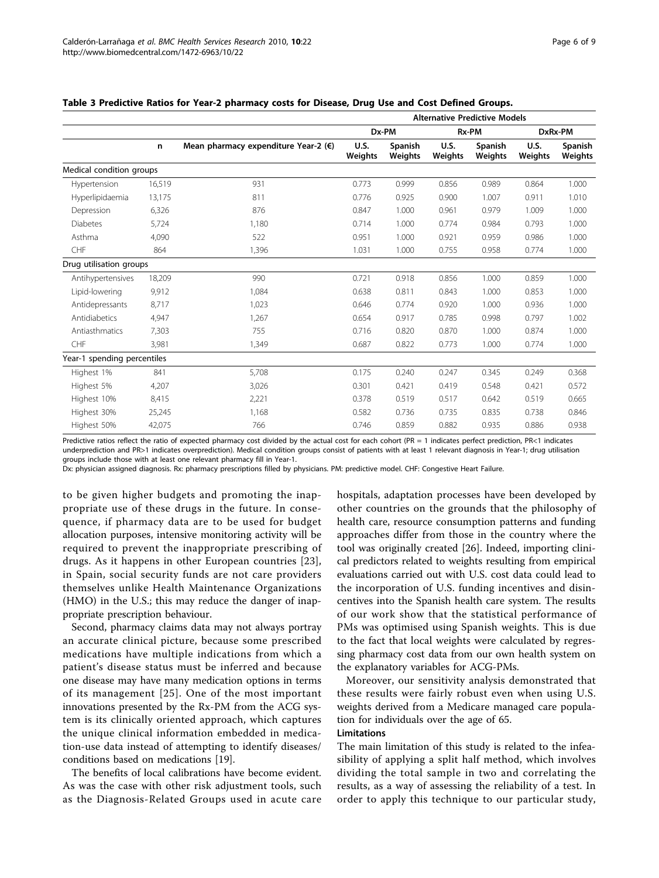|                             |        |                                        |                 |                           | <b>Alternative Predictive Models</b> |                    |                        |                    |  |
|-----------------------------|--------|----------------------------------------|-----------------|---------------------------|--------------------------------------|--------------------|------------------------|--------------------|--|
|                             |        |                                        |                 | Dx-PM                     |                                      | Rx-PM              |                        | DxRx-PM            |  |
|                             | n      | Mean pharmacy expenditure Year-2 $(6)$ | U.S.<br>Weights | Spanish<br><b>Weights</b> | U.S.<br>Weights                      | Spanish<br>Weights | <b>U.S.</b><br>Weights | Spanish<br>Weights |  |
| Medical condition groups    |        |                                        |                 |                           |                                      |                    |                        |                    |  |
| Hypertension                | 16.519 | 931                                    | 0.773           | 0.999                     | 0.856                                | 0.989              | 0.864                  | 1.000              |  |
| Hyperlipidaemia             | 13.175 | 811                                    | 0.776           | 0.925                     | 0.900                                | 1.007              | 0.911                  | 1.010              |  |
| Depression                  | 6,326  | 876                                    | 0.847           | 1.000                     | 0.961                                | 0.979              | 1.009                  | 1.000              |  |
| <b>Diabetes</b>             | 5.724  | 1.180                                  | 0.714           | 1.000                     | 0.774                                | 0.984              | 0.793                  | 1.000              |  |
| Asthma                      | 4.090  | 522                                    | 0.951           | 1.000                     | 0.921                                | 0.959              | 0.986                  | 1.000              |  |
| CHF                         | 864    | 1,396                                  | 1.031           | 1.000                     | 0.755                                | 0.958              | 0.774                  | 1.000              |  |
| Drug utilisation groups     |        |                                        |                 |                           |                                      |                    |                        |                    |  |
| Antihypertensives           | 18,209 | 990                                    | 0.721           | 0.918                     | 0.856                                | 1.000              | 0.859                  | 1.000              |  |
| Lipid-lowering              | 9,912  | 1,084                                  | 0.638           | 0.811                     | 0.843                                | 1.000              | 0.853                  | 1.000              |  |
| Antidepressants             | 8.717  | 1,023                                  | 0.646           | 0.774                     | 0.920                                | 1.000              | 0.936                  | 1.000              |  |
| Antidiabetics               | 4.947  | 1,267                                  | 0.654           | 0.917                     | 0.785                                | 0.998              | 0.797                  | 1.002              |  |
| Antiasthmatics              | 7,303  | 755                                    | 0.716           | 0.820                     | 0.870                                | 1.000              | 0.874                  | 1.000              |  |
| CHF                         | 3,981  | 1,349                                  | 0.687           | 0.822                     | 0.773                                | 1.000              | 0.774                  | 1.000              |  |
| Year-1 spending percentiles |        |                                        |                 |                           |                                      |                    |                        |                    |  |
| Highest 1%                  | 841    | 5,708                                  | 0.175           | 0.240                     | 0.247                                | 0.345              | 0.249                  | 0.368              |  |
| Highest 5%                  | 4,207  | 3,026                                  | 0.301           | 0.421                     | 0.419                                | 0.548              | 0.421                  | 0.572              |  |
| Highest 10%                 | 8,415  | 2,221                                  | 0.378           | 0.519                     | 0.517                                | 0.642              | 0.519                  | 0.665              |  |
| Highest 30%                 | 25,245 | 1,168                                  | 0.582           | 0.736                     | 0.735                                | 0.835              | 0.738                  | 0.846              |  |
| Highest 50%                 | 42.075 | 766                                    | 0.746           | 0.859                     | 0.882                                | 0.935              | 0.886                  | 0.938              |  |

<span id="page-5-0"></span>

|  |  |  |  |  |  | Table 3 Predictive Ratios for Year-2 pharmacy costs for Disease, Drug Use and Cost Defined Groups. |  |  |  |  |  |  |  |  |  |  |
|--|--|--|--|--|--|----------------------------------------------------------------------------------------------------|--|--|--|--|--|--|--|--|--|--|
|--|--|--|--|--|--|----------------------------------------------------------------------------------------------------|--|--|--|--|--|--|--|--|--|--|

Predictive ratios reflect the ratio of expected pharmacy cost divided by the actual cost for each cohort (PR = 1 indicates perfect prediction, PR<1 indicates underprediction and PR>1 indicates overprediction). Medical condition groups consist of patients with at least 1 relevant diagnosis in Year-1; drug utilisation groups include those with at least one relevant pharmacy fill in Year-1.

Dx: physician assigned diagnosis. Rx: pharmacy prescriptions filled by physicians. PM: predictive model. CHF: Congestive Heart Failure.

to be given higher budgets and promoting the inappropriate use of these drugs in the future. In consequence, if pharmacy data are to be used for budget allocation purposes, intensive monitoring activity will be required to prevent the inappropriate prescribing of drugs. As it happens in other European countries [[23](#page-7-0)], in Spain, social security funds are not care providers themselves unlike Health Maintenance Organizations (HMO) in the U.S.; this may reduce the danger of inappropriate prescription behaviour.

Second, pharmacy claims data may not always portray an accurate clinical picture, because some prescribed medications have multiple indications from which a patient's disease status must be inferred and because one disease may have many medication options in terms of its management [[25](#page-7-0)]. One of the most important innovations presented by the Rx-PM from the ACG system is its clinically oriented approach, which captures the unique clinical information embedded in medication-use data instead of attempting to identify diseases/ conditions based on medications [[19](#page-7-0)].

The benefits of local calibrations have become evident. As was the case with other risk adjustment tools, such as the Diagnosis-Related Groups used in acute care hospitals, adaptation processes have been developed by other countries on the grounds that the philosophy of health care, resource consumption patterns and funding approaches differ from those in the country where the tool was originally created [[26\]](#page-7-0). Indeed, importing clinical predictors related to weights resulting from empirical evaluations carried out with U.S. cost data could lead to the incorporation of U.S. funding incentives and disincentives into the Spanish health care system. The results of our work show that the statistical performance of PMs was optimised using Spanish weights. This is due to the fact that local weights were calculated by regressing pharmacy cost data from our own health system on the explanatory variables for ACG-PMs.

Moreover, our sensitivity analysis demonstrated that these results were fairly robust even when using U.S. weights derived from a Medicare managed care population for individuals over the age of 65.

### Limitations

The main limitation of this study is related to the infeasibility of applying a split half method, which involves dividing the total sample in two and correlating the results, as a way of assessing the reliability of a test. In order to apply this technique to our particular study,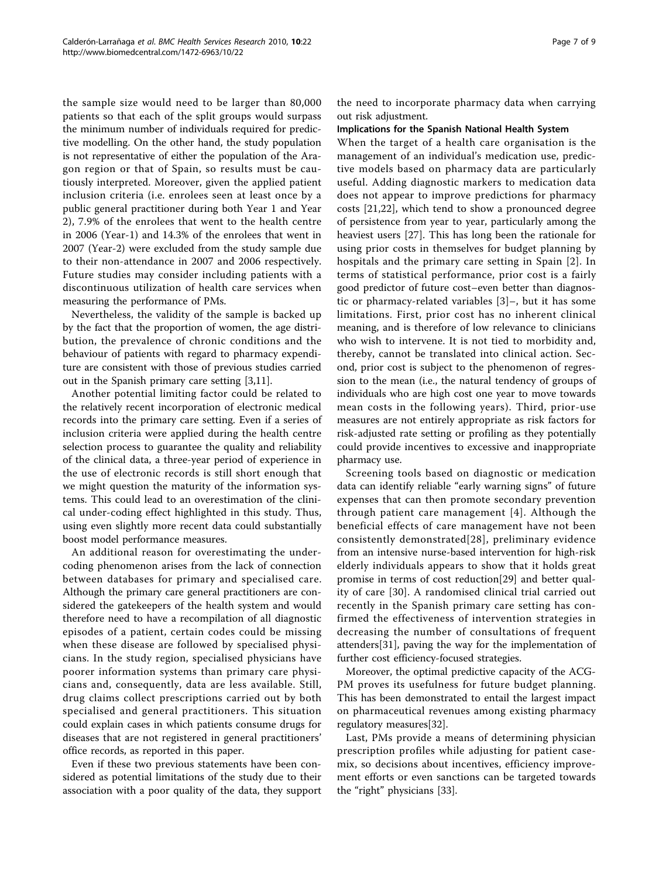the sample size would need to be larger than 80,000 patients so that each of the split groups would surpass the minimum number of individuals required for predictive modelling. On the other hand, the study population is not representative of either the population of the Aragon region or that of Spain, so results must be cautiously interpreted. Moreover, given the applied patient inclusion criteria (i.e. enrolees seen at least once by a public general practitioner during both Year 1 and Year 2), 7.9% of the enrolees that went to the health centre in 2006 (Year-1) and 14.3% of the enrolees that went in 2007 (Year-2) were excluded from the study sample due to their non-attendance in 2007 and 2006 respectively. Future studies may consider including patients with a discontinuous utilization of health care services when measuring the performance of PMs.

Nevertheless, the validity of the sample is backed up by the fact that the proportion of women, the age distribution, the prevalence of chronic conditions and the behaviour of patients with regard to pharmacy expenditure are consistent with those of previous studies carried out in the Spanish primary care setting [\[3,11\]](#page-7-0).

Another potential limiting factor could be related to the relatively recent incorporation of electronic medical records into the primary care setting. Even if a series of inclusion criteria were applied during the health centre selection process to guarantee the quality and reliability of the clinical data, a three-year period of experience in the use of electronic records is still short enough that we might question the maturity of the information systems. This could lead to an overestimation of the clinical under-coding effect highlighted in this study. Thus, using even slightly more recent data could substantially boost model performance measures.

An additional reason for overestimating the undercoding phenomenon arises from the lack of connection between databases for primary and specialised care. Although the primary care general practitioners are considered the gatekeepers of the health system and would therefore need to have a recompilation of all diagnostic episodes of a patient, certain codes could be missing when these disease are followed by specialised physicians. In the study region, specialised physicians have poorer information systems than primary care physicians and, consequently, data are less available. Still, drug claims collect prescriptions carried out by both specialised and general practitioners. This situation could explain cases in which patients consume drugs for diseases that are not registered in general practitioners' office records, as reported in this paper.

Even if these two previous statements have been considered as potential limitations of the study due to their association with a poor quality of the data, they support the need to incorporate pharmacy data when carrying out risk adjustment.

## Implications for the Spanish National Health System

When the target of a health care organisation is the management of an individual's medication use, predictive models based on pharmacy data are particularly useful. Adding diagnostic markers to medication data does not appear to improve predictions for pharmacy costs [[21,22](#page-7-0)], which tend to show a pronounced degree of persistence from year to year, particularly among the heaviest users [[27\]](#page-7-0). This has long been the rationale for using prior costs in themselves for budget planning by hospitals and the primary care setting in Spain [\[2](#page-7-0)]. In terms of statistical performance, prior cost is a fairly good predictor of future cost–even better than diagnostic or pharmacy-related variables [[3](#page-7-0)]–, but it has some limitations. First, prior cost has no inherent clinical meaning, and is therefore of low relevance to clinicians who wish to intervene. It is not tied to morbidity and, thereby, cannot be translated into clinical action. Second, prior cost is subject to the phenomenon of regression to the mean (i.e., the natural tendency of groups of individuals who are high cost one year to move towards mean costs in the following years). Third, prior-use measures are not entirely appropriate as risk factors for risk-adjusted rate setting or profiling as they potentially could provide incentives to excessive and inappropriate pharmacy use.

Screening tools based on diagnostic or medication data can identify reliable "early warning signs" of future expenses that can then promote secondary prevention through patient care management [[4\]](#page-7-0). Although the beneficial effects of care management have not been consistently demonstrated[[28\]](#page-7-0), preliminary evidence from an intensive nurse-based intervention for high-risk elderly individuals appears to show that it holds great promise in terms of cost reduction[\[29](#page-7-0)] and better quality of care [[30\]](#page-7-0). A randomised clinical trial carried out recently in the Spanish primary care setting has confirmed the effectiveness of intervention strategies in decreasing the number of consultations of frequent attenders[[31\]](#page-8-0), paving the way for the implementation of further cost efficiency-focused strategies.

Moreover, the optimal predictive capacity of the ACG-PM proves its usefulness for future budget planning. This has been demonstrated to entail the largest impact on pharmaceutical revenues among existing pharmacy regulatory measures[\[32\]](#page-8-0).

Last, PMs provide a means of determining physician prescription profiles while adjusting for patient casemix, so decisions about incentives, efficiency improvement efforts or even sanctions can be targeted towards the "right" physicians [\[33](#page-8-0)].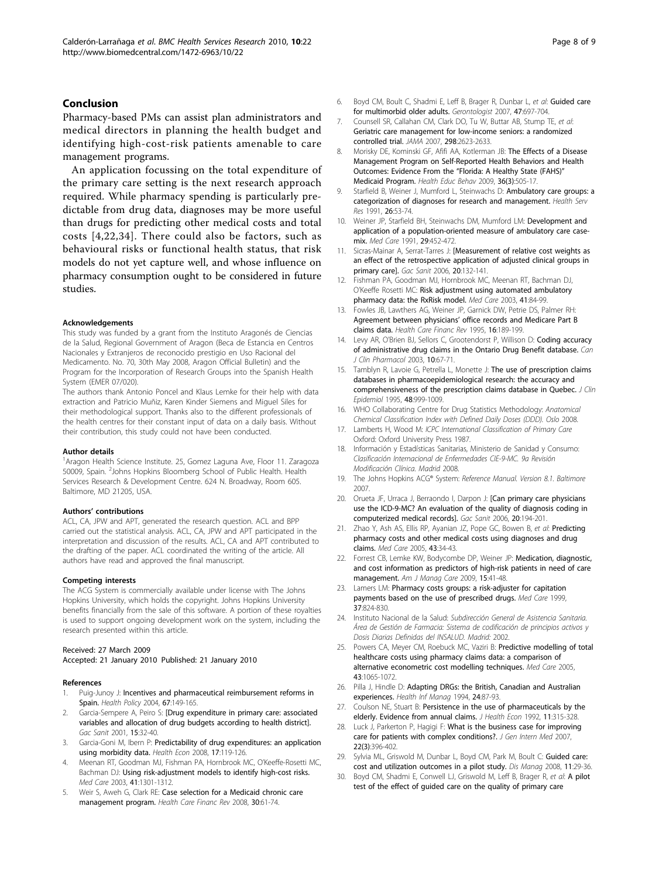## <span id="page-7-0"></span>Conclusion

Pharmacy-based PMs can assist plan administrators and medical directors in planning the health budget and identifying high-cost-risk patients amenable to care management programs.

An application focussing on the total expenditure of the primary care setting is the next research approach required. While pharmacy spending is particularly predictable from drug data, diagnoses may be more useful than drugs for predicting other medical costs and total costs [4,22,[34\]](#page-8-0). There could also be factors, such as behavioural risks or functional health status, that risk models do not yet capture well, and whose influence on pharmacy consumption ought to be considered in future studies.

#### Acknowledgements

This study was funded by a grant from the Instituto Aragonés de Ciencias de la Salud, Regional Government of Aragon (Beca de Estancia en Centros Nacionales y Extranjeros de reconocido prestigio en Uso Racional del Medicamento. No. 70, 30th May 2008, Aragon Official Bulletin) and the Program for the Incorporation of Research Groups into the Spanish Health System (EMER 07/020).

The authors thank Antonio Poncel and Klaus Lemke for their help with data extraction and Patricio Muñiz, Karen Kinder Siemens and Miguel Siles for their methodological support. Thanks also to the different professionals of the health centres for their constant input of data on a daily basis. Without their contribution, this study could not have been conducted.

#### Author details

<sup>1</sup> Aragon Health Science Institute. 25, Gomez Laguna Ave, Floor 11. Zaragoza 50009, Spain. <sup>2</sup>Johns Hopkins Bloomberg School of Public Health. Health Services Research & Development Centre. 624 N. Broadway, Room 605. Baltimore, MD 21205, USA.

#### Authors' contributions

ACL, CA, JPW and APT, generated the research question. ACL and BPP carried out the statistical analysis. ACL, CA, JPW and APT participated in the interpretation and discussion of the results. ACL, CA and APT contributed to the drafting of the paper. ACL coordinated the writing of the article. All authors have read and approved the final manuscript.

#### Competing interests

The ACG System is commercially available under license with The Johns Hopkins University, which holds the copyright. Johns Hopkins University benefits financially from the sale of this software. A portion of these royalties is used to support ongoing development work on the system, including the research presented within this article.

#### Received: 27 March 2009

#### Accepted: 21 January 2010 Published: 21 January 2010

#### References

- 1. Puig-Junoy J: [Incentives and pharmaceutical reimbursement reforms in](http://www.ncbi.nlm.nih.gov/pubmed/14720633?dopt=Abstract) [Spain.](http://www.ncbi.nlm.nih.gov/pubmed/14720633?dopt=Abstract) Health Policy 2004, **67**:149-165.
- Garcia-Sempere A, Peiro S: [\[Drug expenditure in primary care: associated](http://www.ncbi.nlm.nih.gov/pubmed/11333623?dopt=Abstract) [variables and allocation of drug budgets according to health district\].](http://www.ncbi.nlm.nih.gov/pubmed/11333623?dopt=Abstract) Gac Sanit 2001, 15:32-40.
- 3. Garcia-Goni M, Ibern P: [Predictability of drug expenditures: an application](http://www.ncbi.nlm.nih.gov/pubmed/17427265?dopt=Abstract) [using morbidity data.](http://www.ncbi.nlm.nih.gov/pubmed/17427265?dopt=Abstract) Health Econ 2008, 17:119-126.
- 4. Meenan RT, Goodman MJ, Fishman PA, Hornbrook MC, O'Keeffe-Rosetti MC, Bachman DJ: [Using risk-adjustment models to identify high-cost risks.](http://www.ncbi.nlm.nih.gov/pubmed/14583693?dopt=Abstract) Med Care 2003, 41:1301-1312.
- 5. Weir S, Aweh G, Clark RE: [Case selection for a Medicaid chronic care](http://www.ncbi.nlm.nih.gov/pubmed/19040174?dopt=Abstract) [management program.](http://www.ncbi.nlm.nih.gov/pubmed/19040174?dopt=Abstract) Health Care Financ Rev 2008, 30:61-74.
- 6. Boyd CM, Boult C, Shadmi E, Leff B, Brager R, Dunbar L, et al: [Guided care](http://www.ncbi.nlm.nih.gov/pubmed/17989412?dopt=Abstract) [for multimorbid older adults.](http://www.ncbi.nlm.nih.gov/pubmed/17989412?dopt=Abstract) Gerontologist 2007, 47:697-704.
- 7. Counsell SR, Callahan CM, Clark DO, Tu W, Buttar AB, Stump TE, et al: [Geriatric care management for low-income seniors: a randomized](http://www.ncbi.nlm.nih.gov/pubmed/18073358?dopt=Abstract) [controlled trial.](http://www.ncbi.nlm.nih.gov/pubmed/18073358?dopt=Abstract) JAMA 2007, 298:2623-2633.
- 8. Morisky DE, Kominski GF, Afifi AA, Kotlerman JB: [The Effects of a Disease](http://www.ncbi.nlm.nih.gov/pubmed/18292218?dopt=Abstract) [Management Program on Self-Reported Health Behaviors and Health](http://www.ncbi.nlm.nih.gov/pubmed/18292218?dopt=Abstract) Outcomes: Evidence From the "[Florida: A Healthy State \(FAHS\)](http://www.ncbi.nlm.nih.gov/pubmed/18292218?dopt=Abstract)" [Medicaid Program.](http://www.ncbi.nlm.nih.gov/pubmed/18292218?dopt=Abstract) Health Educ Behav 2009, 36(3):505-17.
- 9. Starfield B, Weiner J, Mumford L, Steinwachs D: **[Ambulatory care groups: a](http://www.ncbi.nlm.nih.gov/pubmed/1901841?dopt=Abstract)** [categorization of diagnoses for research and management.](http://www.ncbi.nlm.nih.gov/pubmed/1901841?dopt=Abstract) Health Serv Res 1991, 26:53-74.
- 10. Weiner JP, Starfield BH, Steinwachs DM, Mumford LM: [Development and](http://www.ncbi.nlm.nih.gov/pubmed/1902278?dopt=Abstract) [application of a population-oriented measure of ambulatory care case](http://www.ncbi.nlm.nih.gov/pubmed/1902278?dopt=Abstract)[mix.](http://www.ncbi.nlm.nih.gov/pubmed/1902278?dopt=Abstract) Med Care 1991, 29:452-472.
- 11. Sicras-Mainar A, Serrat-Tarres J: [\[Measurement of relative cost weights as](http://www.ncbi.nlm.nih.gov/pubmed/16753090?dopt=Abstract) [an effect of the retrospective application of adjusted clinical groups in](http://www.ncbi.nlm.nih.gov/pubmed/16753090?dopt=Abstract) [primary care\].](http://www.ncbi.nlm.nih.gov/pubmed/16753090?dopt=Abstract) Gac Sanit 2006, 20:132-141.
- 12. Fishman PA, Goodman MJ, Hornbrook MC, Meenan RT, Bachman DJ, O'Keeffe Rosetti MC: [Risk adjustment using automated ambulatory](http://www.ncbi.nlm.nih.gov/pubmed/12544546?dopt=Abstract) [pharmacy data: the RxRisk model.](http://www.ncbi.nlm.nih.gov/pubmed/12544546?dopt=Abstract) Med Care 2003, 41:84-99.
- 13. Fowles JB, Lawthers AG, Weiner JP, Garnick DW, Petrie DS, Palmer RH: Agreement between physicians' [office records and Medicare Part B](http://www.ncbi.nlm.nih.gov/pubmed/10151888?dopt=Abstract) [claims data.](http://www.ncbi.nlm.nih.gov/pubmed/10151888?dopt=Abstract) Health Care Financ Rev 1995, 16:189-199.
- 14. Levy AR, O'Brien BJ, Sellors C, Grootendorst P, Willison D: [Coding accuracy](http://www.ncbi.nlm.nih.gov/pubmed/12879144?dopt=Abstract) [of administrative drug claims in the Ontario Drug Benefit database.](http://www.ncbi.nlm.nih.gov/pubmed/12879144?dopt=Abstract) Can J Clin Pharmacol 2003, 10:67-71.
- 15. Tamblyn R, Lavoie G, Petrella L, Monette J: [The use of prescription claims](http://www.ncbi.nlm.nih.gov/pubmed/7775999?dopt=Abstract) [databases in pharmacoepidemiological research: the accuracy and](http://www.ncbi.nlm.nih.gov/pubmed/7775999?dopt=Abstract) [comprehensiveness of the prescription claims database in Quebec.](http://www.ncbi.nlm.nih.gov/pubmed/7775999?dopt=Abstract) J Clin Epidemiol 1995, 48:999-1009.
- 16. WHO Collaborating Centre for Drug Statistics Methodology: Anatomical Chemical Classification Index with Defined Daily Doses (DDD). Oslo 2008.
- 17. Lamberts H, Wood M: ICPC International Classification of Primary Care Oxford: Oxford University Press 1987.
- 18. Información y Estadísticas Sanitarias, Ministerio de Sanidad y Consumo: Clasificación Internacional de Enfermedades CIE-9-MC. 9a Revisión Modificación Clínica. Madrid 2008.
- 19. The Johns Hopkins ACG® System: Reference Manual. Version 8.1. Baltimore 2007.
- 20. Orueta JF, Urraca J, Berraondo I, Darpon J: [\[Can primary care physicians](http://www.ncbi.nlm.nih.gov/pubmed/16756857?dopt=Abstract) [use the ICD-9-MC? An evaluation of the quality of diagnosis coding in](http://www.ncbi.nlm.nih.gov/pubmed/16756857?dopt=Abstract) [computerized medical records\].](http://www.ncbi.nlm.nih.gov/pubmed/16756857?dopt=Abstract) Gac Sanit 2006, 20:194-201.
- 21. Zhao Y, Ash AS, Ellis RP, Ayanian JZ, Pope GC, Bowen B, et al: [Predicting](http://www.ncbi.nlm.nih.gov/pubmed/15626932?dopt=Abstract) [pharmacy costs and other medical costs using diagnoses and drug](http://www.ncbi.nlm.nih.gov/pubmed/15626932?dopt=Abstract) [claims.](http://www.ncbi.nlm.nih.gov/pubmed/15626932?dopt=Abstract) Med Care 2005, 43:34-43.
- 22. Forrest CB, Lemke KW, Bodycombe DP, Weiner JP: [Medication, diagnostic,](http://www.ncbi.nlm.nih.gov/pubmed/19146363?dopt=Abstract) [and cost information as predictors of high-risk patients in need of care](http://www.ncbi.nlm.nih.gov/pubmed/19146363?dopt=Abstract) [management.](http://www.ncbi.nlm.nih.gov/pubmed/19146363?dopt=Abstract) Am J Manag Care 2009, 15:41-48.
- 23. Lamers LM: [Pharmacy costs groups: a risk-adjuster for capitation](http://www.ncbi.nlm.nih.gov/pubmed/10448725?dopt=Abstract) [payments based on the use of prescribed drugs.](http://www.ncbi.nlm.nih.gov/pubmed/10448725?dopt=Abstract) Med Care 1999, 37:824-830.
- 24. Instituto Nacional de la Salud: Subdirección General de Asistencia Sanitaria. Área de Gestión de Farmacia: Sistema de codificación de principios activos y Dosis Diarias Definidas del INSALUD. Madrid: 2002.
- 25. Powers CA, Meyer CM, Roebuck MC, Vaziri B: [Predictive modelling of total](http://www.ncbi.nlm.nih.gov/pubmed/16224298?dopt=Abstract) [healthcare costs using pharmacy claims data: a comparison of](http://www.ncbi.nlm.nih.gov/pubmed/16224298?dopt=Abstract) [alternative econometric cost modelling techniques.](http://www.ncbi.nlm.nih.gov/pubmed/16224298?dopt=Abstract) Med Care 2005, 43:1065-1072.
- 26. Pilla J, Hindle D: [Adapting DRGs: the British, Canadian and Australian](http://www.ncbi.nlm.nih.gov/pubmed/10141151?dopt=Abstract) [experiences.](http://www.ncbi.nlm.nih.gov/pubmed/10141151?dopt=Abstract) Health Inf Manag 1994, 24:87-93.
- 27. Coulson NE, Stuart B: [Persistence in the use of pharmaceuticals by the](http://www.ncbi.nlm.nih.gov/pubmed/10122541?dopt=Abstract) [elderly. Evidence from annual claims.](http://www.ncbi.nlm.nih.gov/pubmed/10122541?dopt=Abstract) J Health Econ 1992, 11:315-328.
- 28. Luck J, Parkerton P, Hagigi F: [What is the business case for improving](http://www.ncbi.nlm.nih.gov/pubmed/18026808?dopt=Abstract) [care for patients with complex conditions?.](http://www.ncbi.nlm.nih.gov/pubmed/18026808?dopt=Abstract) J Gen Intern Med 2007, 22(3):396-402.
- 29. Sylvia ML, Griswold M, Dunbar L, Boyd CM, Park M, Boult C: [Guided care:](http://www.ncbi.nlm.nih.gov/pubmed/18279112?dopt=Abstract) [cost and utilization outcomes in a pilot study.](http://www.ncbi.nlm.nih.gov/pubmed/18279112?dopt=Abstract) Dis Manag 2008, 11:29-36.
- 30. Boyd CM, Shadmi E, Conwell LJ, Griswold M, Leff B, Brager R, et al: [A pilot](http://www.ncbi.nlm.nih.gov/pubmed/18266045?dopt=Abstract) [test of the effect of guided care on the quality of primary care](http://www.ncbi.nlm.nih.gov/pubmed/18266045?dopt=Abstract)